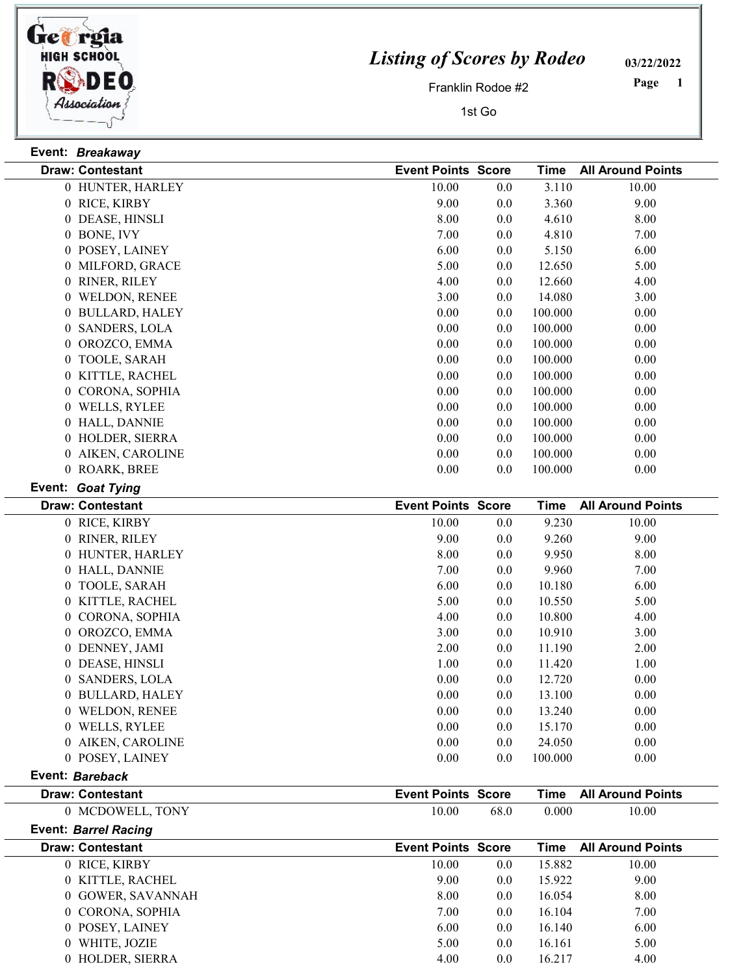

Event: Breakaway

 $\frac{1}{\sqrt{2}}$ 

## Listing of Scores by Rodeo

03/22/2022

Franklin Rodoe #2

1st Go

 Page

|                 | <b>Draw: Contestant</b>     | <b>Event Points Score</b> |      | <b>Time</b> | <b>All Around Points</b> |  |
|-----------------|-----------------------------|---------------------------|------|-------------|--------------------------|--|
|                 | 0 HUNTER, HARLEY            | 10.00                     | 0.0  | 3.110       | 10.00                    |  |
|                 | 0 RICE, KIRBY               | 9.00                      | 0.0  | 3.360       | 9.00                     |  |
|                 | 0 DEASE, HINSLI             | 8.00                      | 0.0  | 4.610       | 8.00                     |  |
|                 | 0 BONE, IVY                 | 7.00                      | 0.0  | 4.810       | 7.00                     |  |
|                 | 0 POSEY, LAINEY             | 6.00                      | 0.0  | 5.150       | 6.00                     |  |
|                 | 0 MILFORD, GRACE            | 5.00                      | 0.0  | 12.650      | 5.00                     |  |
|                 | 0 RINER, RILEY              | 4.00                      | 0.0  | 12.660      | 4.00                     |  |
|                 | 0 WELDON, RENEE             | 3.00                      | 0.0  | 14.080      | 3.00                     |  |
|                 | 0 BULLARD, HALEY            | 0.00                      | 0.0  | 100.000     | 0.00                     |  |
|                 | 0 SANDERS, LOLA             | 0.00                      | 0.0  | 100.000     | 0.00                     |  |
|                 | 0 OROZCO, EMMA              | 0.00                      | 0.0  | 100.000     | 0.00                     |  |
|                 | 0 TOOLE, SARAH              | 0.00                      | 0.0  | 100.000     | 0.00                     |  |
|                 | 0 KITTLE, RACHEL            | 0.00                      | 0.0  | 100.000     | 0.00                     |  |
|                 | 0 CORONA, SOPHIA            | 0.00                      | 0.0  | 100.000     | 0.00                     |  |
|                 | 0 WELLS, RYLEE              | 0.00                      | 0.0  | 100.000     | 0.00                     |  |
|                 | 0 HALL, DANNIE              | 0.00                      | 0.0  | 100.000     | 0.00                     |  |
|                 | 0 HOLDER, SIERRA            | 0.00                      | 0.0  | 100.000     | 0.00                     |  |
|                 | 0 AIKEN, CAROLINE           | 0.00                      | 0.0  | 100.000     | 0.00                     |  |
|                 | 0 ROARK, BREE               | 0.00                      | 0.0  | 100.000     | 0.00                     |  |
|                 | Event: Goat Tying           |                           |      |             |                          |  |
|                 | <b>Draw: Contestant</b>     | <b>Event Points Score</b> |      | <b>Time</b> | <b>All Around Points</b> |  |
|                 | 0 RICE, KIRBY               | 10.00                     | 0.0  | 9.230       | 10.00                    |  |
|                 | 0 RINER, RILEY              | 9.00                      | 0.0  | 9.260       | 9.00                     |  |
|                 | 0 HUNTER, HARLEY            | 8.00                      | 0.0  | 9.950       | 8.00                     |  |
|                 | 0 HALL, DANNIE              | 7.00                      | 0.0  | 9.960       | 7.00                     |  |
|                 | 0 TOOLE, SARAH              | 6.00                      | 0.0  | 10.180      | 6.00                     |  |
|                 | 0 KITTLE, RACHEL            | 5.00                      | 0.0  | 10.550      | 5.00                     |  |
|                 | 0 CORONA, SOPHIA            | 4.00                      | 0.0  | 10.800      | 4.00                     |  |
|                 | 0 OROZCO, EMMA              | 3.00                      | 0.0  | 10.910      | 3.00                     |  |
|                 | 0 DENNEY, JAMI              | 2.00                      | 0.0  | 11.190      | 2.00                     |  |
|                 | 0 DEASE, HINSLI             | 1.00                      | 0.0  | 11.420      | 1.00                     |  |
|                 | 0 SANDERS, LOLA             | 0.00                      | 0.0  | 12.720      | 0.00                     |  |
|                 | 0 BULLARD, HALEY            | 0.00                      | 0.0  | 13.100      | 0.00                     |  |
|                 | 0 WELDON, RENEE             | 0.00                      | 0.0  | 13.240      | 0.00                     |  |
|                 | 0 WELLS, RYLEE              | 0.00                      | 0.0  | 15.170      | 0.00                     |  |
|                 | 0 AIKEN, CAROLINE           | 0.00                      | 0.0  | 24.050      | 0.00                     |  |
|                 | 0 POSEY, LAINEY             | 0.00                      | 0.0  | 100.000     | 0.00                     |  |
| Event: Bareback |                             |                           |      |             |                          |  |
|                 | <b>Draw: Contestant</b>     | <b>Event Points Score</b> |      | <b>Time</b> | <b>All Around Points</b> |  |
|                 | 0 MCDOWELL, TONY            | 10.00                     | 68.0 | 0.000       | 10.00                    |  |
|                 | <b>Event: Barrel Racing</b> |                           |      |             |                          |  |
|                 | <b>Draw: Contestant</b>     | <b>Event Points Score</b> |      | <b>Time</b> | <b>All Around Points</b> |  |
|                 | 0 RICE, KIRBY               | 10.00                     | 0.0  | 15.882      | 10.00                    |  |
|                 | 0 KITTLE, RACHEL            | 9.00                      | 0.0  | 15.922      | 9.00                     |  |

0 GOWER, SAVANNAH 8.00 8.00 0.0 16.054 8.00 0 CORONA, SOPHIA 7.00 0.0 16.104 7.00 0 POSEY, LAINEY 6.00 6.00 6.00 6.00 6.00 0 WHITE, JOZIE 5.00 5.00 5.00 5.00 5.00 5.00 HOLDER, SIERRA 4.00 4.00 0.0 16.217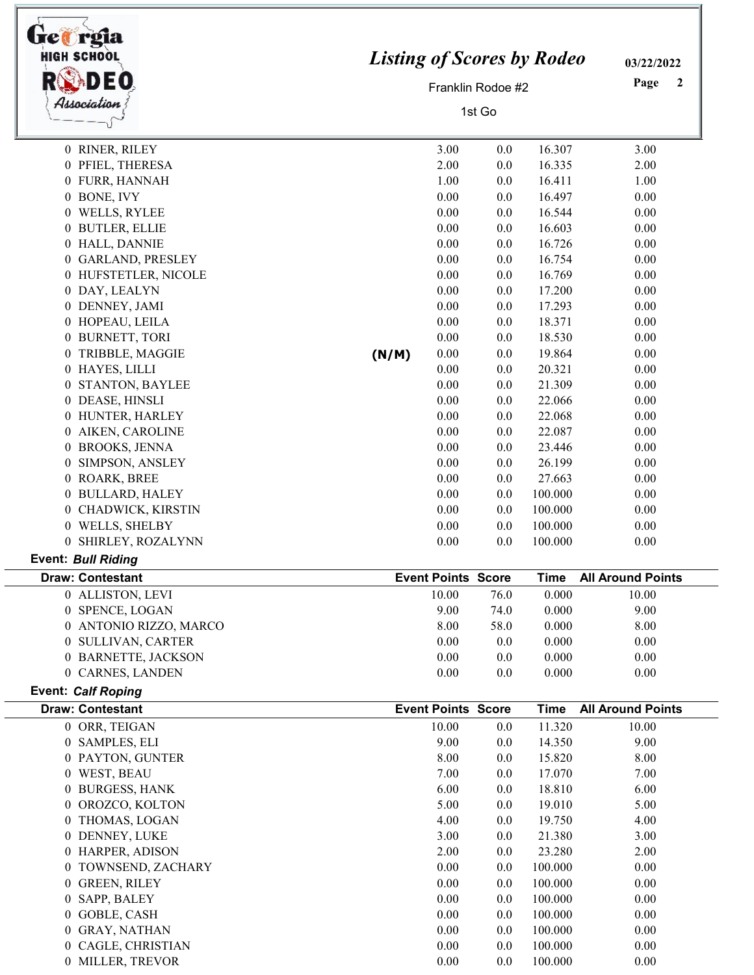| Get rgia                                  |       |                                   |                   |                  |                          |  |
|-------------------------------------------|-------|-----------------------------------|-------------------|------------------|--------------------------|--|
| <b>HIGH SCHOOL</b>                        |       | <b>Listing of Scores by Rodeo</b> |                   |                  |                          |  |
|                                           |       |                                   | Franklin Rodoe #2 |                  | Page<br>$\boldsymbol{2}$ |  |
| Association                               |       | 1st Go                            |                   |                  |                          |  |
|                                           |       |                                   |                   |                  |                          |  |
| 0 RINER, RILEY                            |       | 3.00                              | 0.0               | 16.307           | 3.00                     |  |
| 0 PFIEL, THERESA                          |       | 2.00                              | 0.0               | 16.335           | 2.00                     |  |
| 0 FURR, HANNAH                            |       | 1.00                              | 0.0               | 16.411           | 1.00                     |  |
| 0 BONE, IVY                               |       | 0.00                              | 0.0               | 16.497           | 0.00                     |  |
| 0 WELLS, RYLEE                            |       | 0.00                              | 0.0               | 16.544           | 0.00                     |  |
| 0 BUTLER, ELLIE                           |       | 0.00                              | 0.0               | 16.603           | 0.00                     |  |
| 0 HALL, DANNIE                            |       | $0.00\,$                          | 0.0               | 16.726           | 0.00                     |  |
| 0 GARLAND, PRESLEY                        |       | 0.00                              | 0.0               | 16.754           | 0.00                     |  |
| 0 HUFSTETLER, NICOLE                      |       | 0.00                              | 0.0               | 16.769           | 0.00                     |  |
| 0 DAY, LEALYN                             |       | 0.00                              | 0.0               | 17.200           | 0.00                     |  |
| 0 DENNEY, JAMI                            |       | 0.00                              | 0.0               | 17.293           | 0.00                     |  |
| 0 HOPEAU, LEILA                           |       | 0.00                              | 0.0               | 18.371           | 0.00                     |  |
| 0 BURNETT, TORI                           |       | 0.00                              | 0.0               | 18.530           | 0.00                     |  |
| 0 TRIBBLE, MAGGIE                         | (N/M) | 0.00                              | 0.0               | 19.864           | 0.00                     |  |
| 0 HAYES, LILLI                            |       | 0.00                              | 0.0               | 20.321           | 0.00                     |  |
| STANTON, BAYLEE<br>$\theta$               |       | 0.00                              | 0.0               | 21.309           | 0.00                     |  |
| 0 DEASE, HINSLI                           |       | 0.00                              | 0.0               | 22.066           | 0.00                     |  |
| 0 HUNTER, HARLEY                          |       | 0.00                              | 0.0               | 22.068           | 0.00                     |  |
| 0 AIKEN, CAROLINE                         |       | 0.00                              | 0.0               | 22.087           | 0.00                     |  |
| 0 BROOKS, JENNA                           |       | 0.00                              | 0.0               | 23.446           | 0.00                     |  |
| SIMPSON, ANSLEY<br>0                      |       | 0.00                              | 0.0               | 26.199           | 0.00                     |  |
| 0 ROARK, BREE                             |       | 0.00                              | 0.0               | 27.663           | 0.00                     |  |
| 0 BULLARD, HALEY                          |       | 0.00                              | 0.0               | 100.000          | 0.00                     |  |
| CHADWICK, KIRSTIN<br>0                    |       | 0.00                              | 0.0               | 100.000          | 0.00                     |  |
| 0 WELLS, SHELBY                           |       | $0.00\,$                          | 0.0               | 100.000          | 0.00                     |  |
| 0 SHIRLEY, ROZALYNN<br>Event: Bull Riding |       | 0.00                              | 0.0               | 100.000          | 0.00                     |  |
| <b>Draw: Contestant</b>                   |       | <b>Event Points Score</b>         |                   | <b>Time</b>      | <b>All Around Points</b> |  |
| 0 ALLISTON, LEVI                          |       | 10.00                             | 76.0              | 0.000            | 10.00                    |  |
| SPENCE, LOGAN<br>0                        |       | 9.00                              | 74.0              | 0.000            | 9.00                     |  |
| 0 ANTONIO RIZZO, MARCO                    |       | 8.00                              | 58.0              | 0.000            | 8.00                     |  |
| 0 SULLIVAN, CARTER                        |       | 0.00                              | 0.0               | 0.000            | 0.00                     |  |
| 0 BARNETTE, JACKSON                       |       | $0.00\,$                          | 0.0               | 0.000            | $0.00\,$                 |  |
| 0 CARNES, LANDEN                          |       | 0.00                              | 0.0               | 0.000            | 0.00                     |  |
| <b>Event: Calf Roping</b>                 |       |                                   |                   |                  |                          |  |
| <b>Draw: Contestant</b>                   |       | <b>Event Points Score</b>         |                   | <b>Time</b>      | <b>All Around Points</b> |  |
| 0 ORR, TEIGAN<br>0 SAMPLES, ELI           |       | 10.00<br>9.00                     | 0.0               | 11.320<br>14.350 | 10.00<br>9.00            |  |
| 0 PAYTON, GUNTER                          |       | 8.00                              | 0.0               | 15.820           | 8.00                     |  |
| 0 WEST, BEAU                              |       | 7.00                              | 0.0<br>0.0        | 17.070           | 7.00                     |  |
| <b>BURGESS, HANK</b><br>0                 |       | 6.00                              | 0.0               | 18.810           | 6.00                     |  |
| OROZCO, KOLTON<br>$\overline{0}$          |       | 5.00                              | 0.0               | 19.010           | 5.00                     |  |
| THOMAS, LOGAN<br>0                        |       | 4.00                              | 0.0               | 19.750           | 4.00                     |  |
| 0 DENNEY, LUKE                            |       | 3.00                              | 0.0               | 21.380           | 3.00                     |  |
| 0 HARPER, ADISON                          |       | 2.00                              | 0.0               | 23.280           | 2.00                     |  |
| 0 TOWNSEND, ZACHARY                       |       | 0.00                              | 0.0               | 100.000          | 0.00                     |  |
| 0 GREEN, RILEY                            |       | 0.00                              | 0.0               | 100.000          | 0.00                     |  |
| SAPP, BALEY<br>0                          |       | 0.00                              | 0.0               | 100.000          | 0.00                     |  |
| GOBLE, CASH<br>$\overline{0}$             |       | 0.00                              | 0.0               | 100.000          | 0.00                     |  |
| <b>GRAY, NATHAN</b><br>0                  |       | 0.00                              | 0.0               | 100.000          | 0.00                     |  |
| CAGLE, CHRISTIAN<br>0                     |       | $0.00\,$                          | 0.0               | 100.000          | 0.00                     |  |
| 0 MILLER, TREVOR                          |       | 0.00                              | 0.0               | 100.000          | 0.00                     |  |
|                                           |       |                                   |                   |                  |                          |  |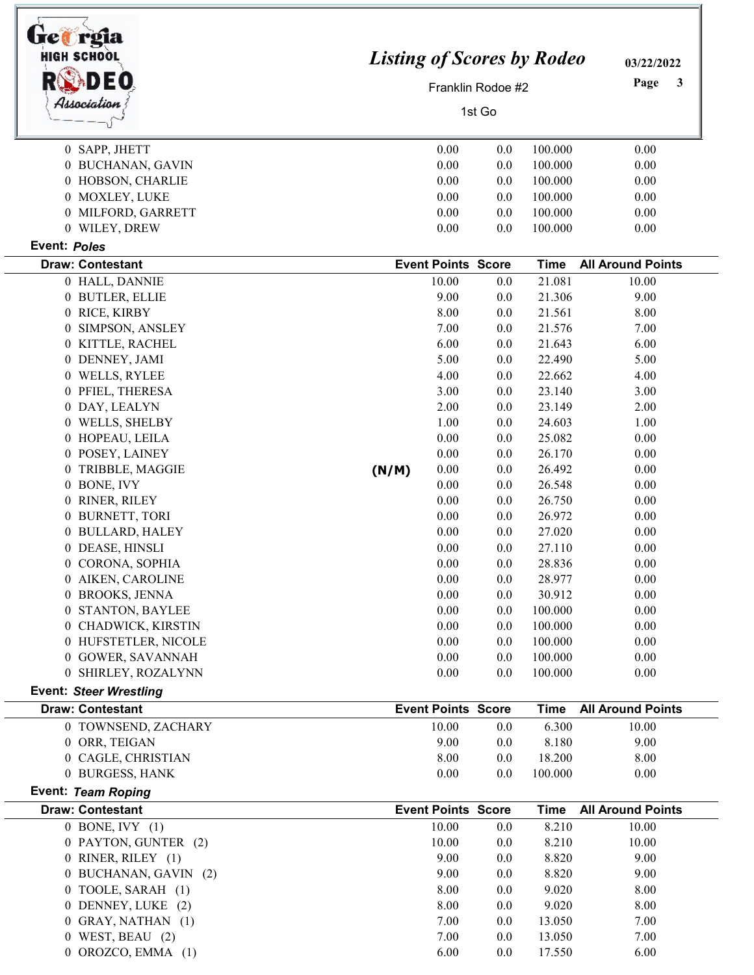| <b>HIGH SCHOOL</b>                         |                                          | <b>Listing of Scores by Rodeo</b><br>Franklin Rodoe #2 |            |                    |                          |  |
|--------------------------------------------|------------------------------------------|--------------------------------------------------------|------------|--------------------|--------------------------|--|
| Association                                | 1st Go                                   |                                                        |            |                    |                          |  |
|                                            |                                          |                                                        |            |                    |                          |  |
| 0 SAPP, JHETT                              |                                          | 0.00                                                   | 0.0        | 100.000            | 0.00                     |  |
| 0 BUCHANAN, GAVIN                          |                                          | 0.00                                                   | 0.0        | 100.000            | 0.00                     |  |
| 0 HOBSON, CHARLIE                          |                                          | 0.00                                                   | 0.0        | 100.000            | 0.00                     |  |
| 0 MOXLEY, LUKE                             |                                          | 0.00                                                   | 0.0        | 100.000            | 0.00                     |  |
| 0 MILFORD, GARRETT<br>0 WILEY, DREW        |                                          | 0.00<br>0.00                                           | 0.0<br>0.0 | 100.000<br>100.000 | 0.00                     |  |
| Event: Poles                               |                                          |                                                        |            |                    | 0.00                     |  |
| <b>Draw: Contestant</b>                    |                                          | <b>Event Points Score</b>                              |            | <b>Time</b>        | <b>All Around Points</b> |  |
| 0 HALL, DANNIE                             |                                          | 10.00                                                  | 0.0        | 21.081             | 10.00                    |  |
| 0 BUTLER, ELLIE                            |                                          | 9.00                                                   | 0.0        | 21.306             | 9.00                     |  |
| 0 RICE, KIRBY                              |                                          | 8.00                                                   | 0.0        | 21.561             | 8.00                     |  |
| 0 SIMPSON, ANSLEY                          |                                          | 7.00                                                   | 0.0        | 21.576             | 7.00                     |  |
| 0 KITTLE, RACHEL                           |                                          | 6.00                                                   | 0.0        | 21.643             | 6.00                     |  |
| 0 DENNEY, JAMI                             |                                          | 5.00                                                   | 0.0        | 22.490             | 5.00                     |  |
| 0 WELLS, RYLEE                             |                                          | 4.00                                                   | 0.0        | 22.662             | 4.00                     |  |
| 0 PFIEL, THERESA                           |                                          | 3.00                                                   | 0.0        | 23.140             | 3.00                     |  |
| 0 DAY, LEALYN                              |                                          | 2.00                                                   | 0.0        | 23.149             | 2.00                     |  |
| 0 WELLS, SHELBY                            |                                          | 1.00                                                   | 0.0        | 24.603             | 1.00                     |  |
| 0 HOPEAU, LEILA                            |                                          | 0.00                                                   | 0.0        | 25.082             | 0.00                     |  |
| 0 POSEY, LAINEY                            |                                          | 0.00                                                   | 0.0        | 26.170             | 0.00                     |  |
| 0 TRIBBLE, MAGGIE                          | (N/M)                                    | 0.00                                                   | 0.0        | 26.492             | 0.00                     |  |
| 0 BONE, IVY                                |                                          | 0.00                                                   | 0.0        | 26.548             | 0.00                     |  |
| 0 RINER, RILEY                             |                                          | 0.00                                                   | 0.0        | 26.750             | 0.00                     |  |
| 0 BURNETT, TORI                            |                                          | 0.00                                                   | 0.0        | 26.972             | 0.00                     |  |
| 0 BULLARD, HALEY                           |                                          | 0.00                                                   | 0.0        | 27.020             | 0.00                     |  |
| 0 DEASE, HINSLI                            |                                          | 0.00                                                   | 0.0        | 27.110             | 0.00                     |  |
| 0 CORONA, SOPHIA<br>0 AIKEN, CAROLINE      |                                          | 0.00<br>0.00                                           | 0.0        | 28.836             | 0.00                     |  |
| 0 BROOKS, JENNA                            |                                          | 0.00                                                   | 0.0<br>0.0 | 28.977<br>30.912   | 0.00<br>0.00             |  |
| 0 STANTON, BAYLEE                          |                                          | 0.00                                                   | 0.0        | 100.000            | 0.00                     |  |
| 0 CHADWICK, KIRSTIN                        |                                          | 0.00                                                   | 0.0        | 100.000            | 0.00                     |  |
| 0 HUFSTETLER, NICOLE                       |                                          | 0.00                                                   | 0.0        | 100.000            | 0.00                     |  |
| 0 GOWER, SAVANNAH                          |                                          | 0.00                                                   | 0.0        | 100.000            | $0.00\,$                 |  |
| 0 SHIRLEY, ROZALYNN                        |                                          | 0.00                                                   | 0.0        | 100.000            | 0.00                     |  |
| <b>Event: Steer Wrestling</b>              |                                          |                                                        |            |                    |                          |  |
| <b>Draw: Contestant</b>                    | <b>Event Points Score</b><br><b>Time</b> |                                                        |            |                    | <b>All Around Points</b> |  |
| 0 TOWNSEND, ZACHARY                        |                                          | 10.00                                                  | 0.0        | 6.300              | 10.00                    |  |
| 0 ORR, TEIGAN                              |                                          | 9.00                                                   | 0.0        | 8.180              | 9.00                     |  |
| 0 CAGLE, CHRISTIAN                         |                                          | 8.00                                                   | 0.0        | 18.200             | 8.00                     |  |
| 0 BURGESS, HANK                            |                                          | 0.00                                                   | 0.0        | 100.000            | 0.00                     |  |
| <b>Event: Team Roping</b>                  |                                          |                                                        |            |                    |                          |  |
| <b>Draw: Contestant</b>                    |                                          | <b>Event Points Score</b>                              |            | <b>Time</b>        | <b>All Around Points</b> |  |
| $0$ BONE, IVY $(1)$                        |                                          | 10.00                                                  | 0.0        | 8.210              | 10.00                    |  |
| 0 PAYTON, GUNTER (2)<br>0 RINER, RILEY (1) |                                          | 10.00<br>9.00                                          | 0.0        | 8.210<br>8.820     | 10.00                    |  |
| 0 BUCHANAN, GAVIN (2)                      |                                          | 9.00                                                   | 0.0<br>0.0 | 8.820              | 9.00<br>9.00             |  |
| 0 TOOLE, SARAH (1)                         |                                          | 8.00                                                   | 0.0        | 9.020              | 8.00                     |  |
| 0 DENNEY, LUKE (2)                         |                                          | 8.00                                                   | 0.0        | 9.020              | 8.00                     |  |
| 0 GRAY, NATHAN (1)                         |                                          | 7.00                                                   | 0.0        | 13.050             | 7.00                     |  |
| $0$ WEST, BEAU $(2)$                       |                                          | 7.00                                                   | 0.0        | 13.050             | 7.00                     |  |
|                                            |                                          |                                                        |            |                    |                          |  |